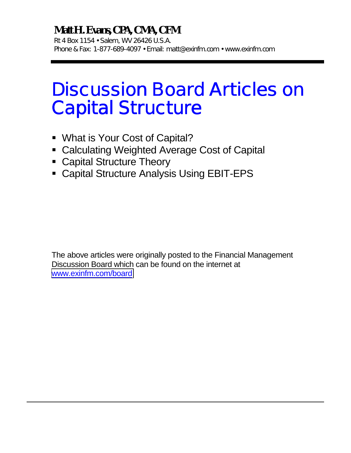# **Matt H. Evans, CPA, CMA, CFM**

Rt 4 Box 1154 • Salem, WV 26426 U.S.A. Phone & Fax: 1-877-689-4097 • Email: matt@exinfm.com • www.exinfm.com

# Discussion Board Articles on Capital Structure

- **.** What is Your Cost of Capital?
- **E** Calculating Weighted Average Cost of Capital
- **E.** Capital Structure Theory
- **E.** Capital Structure Analysis Using EBIT-EPS

The above articles were originally posted to the Financial Management Discussion Board which can be found on the internet at [www.exinfm.com/board](http://www.exinfm.com/board)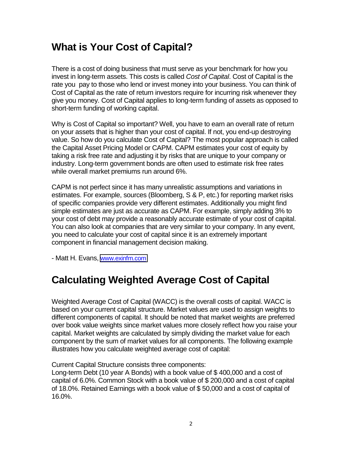### **What is Your Cost of Capital?**

There is a cost of doing business that must serve as your benchmark for how you invest in long-term assets. This costs is called *Cost of Capital*. Cost of Capital is the rate you pay to those who lend or invest money into your business. You can think of Cost of Capital as the rate of return investors require for incurring risk whenever they give you money. Cost of Capital applies to long-term funding of assets as opposed to short-term funding of working capital.

Why is Cost of Capital so important? Well, you have to earn an overall rate of return on your assets that is higher than your cost of capital. If not, you end-up destroying value. So how do you calculate Cost of Capital? The most popular approach is called the Capital Asset Pricing Model or CAPM. CAPM estimates your cost of equity by taking a risk free rate and adjusting it by risks that are unique to your company or industry. Long-term government bonds are often used to estimate risk free rates while overall market premiums run around 6%.

CAPM is not perfect since it has many unrealistic assumptions and variations in estimates. For example, sources (Bloomberg, S & P, etc.) for reporting market risks of specific companies provide very different estimates. Additionally you might find simple estimates are just as accurate as CAPM. For example, simply adding 3% to your cost of debt may provide a reasonably accurate estimate of your cost of capital. You can also look at companies that are very similar to your company. In any event, you need to calculate your cost of capital since it is an extremely important component in financial management decision making.

- Matt H. Evans, [www.exinfm.com](http://www.exinfm.com/)

# **Calculating Weighted Average Cost of Capital**

Weighted Average Cost of Capital (WACC) is the overall costs of capital. WACC is based on your current capital structure. Market values are used to assign weights to different components of capital. It should be noted that market weights are preferred over book value weights since market values more closely reflect how you raise your capital. Market weights are calculated by simply dividing the market value for each component by the sum of market values for all components. The following example illustrates how you calculate weighted average cost of capital:

Current Capital Structure consists three components:

Long-term Debt (10 year A Bonds) with a book value of \$ 400,000 and a cost of capital of 6.0%. Common Stock with a book value of \$ 200,000 and a cost of capital of 18.0%. Retained Earnings with a book value of \$ 50,000 and a cost of capital of 16.0%.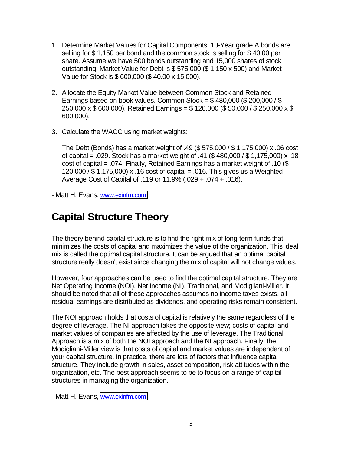- 1. Determine Market Values for Capital Components. 10-Year grade A bonds are selling for \$ 1,150 per bond and the common stock is selling for \$ 40.00 per share. Assume we have 500 bonds outstanding and 15,000 shares of stock outstanding. Market Value for Debt is \$ 575,000 (\$ 1,150 x 500) and Market Value for Stock is \$ 600,000 (\$ 40.00 x 15,000).
- 2. Allocate the Equity Market Value between Common Stock and Retained Earnings based on book values. Common Stock =  $$480,000$  ( $$200,000$  /  $$$ 250,000 x \$ 600,000). Retained Earnings = \$ 120,000 (\$ 50,000 / \$ 250,000 x \$ 600,000).
- 3. Calculate the WACC using market weights:

The Debt (Bonds) has a market weight of .49 (\$ 575,000 / \$ 1,175,000) x .06 cost of capital = .029. Stock has a market weight of .41 (\$ 480,000 / \$ 1,175,000) x .18 cost of capital = .074. Finally, Retained Earnings has a market weight of .10 (\$ 120,000 / \$ 1,175,000) x .16 cost of capital = .016. This gives us a Weighted Average Cost of Capital of .119 or 11.9% (.029 + .074 + .016).

- Matt H. Evans, [www.exinfm.com](http://www.exinfm.com/)

#### **Capital Structure Theory**

The theory behind capital structure is to find the right mix of long-term funds that minimizes the costs of capital and maximizes the value of the organization. This ideal mix is called the optimal capital structure. It can be argued that an optimal capital structure really doesn't exist since changing the mix of capital will not change values.

However, four approaches can be used to find the optimal capital structure. They are Net Operating Income (NOI), Net Income (NI), Traditional, and Modigliani-Miller. It should be noted that all of these approaches assumes no income taxes exists, all residual earnings are distributed as dividends, and operating risks remain consistent.

The NOI approach holds that costs of capital is relatively the same regardless of the degree of leverage. The NI approach takes the opposite view; costs of capital and market values of companies are affected by the use of leverage. The Traditional Approach is a mix of both the NOI approach and the NI approach. Finally, the Modigliani-Miller view is that costs of capital and market values are independent of your capital structure. In practice, there are lots of factors that influence capital structure. They include growth in sales, asset composition, risk attitudes within the organization, etc. The best approach seems to be to focus on a range of capital structures in managing the organization.

- Matt H. Evans, [www.exinfm.com](http://www.exinfm.com/)